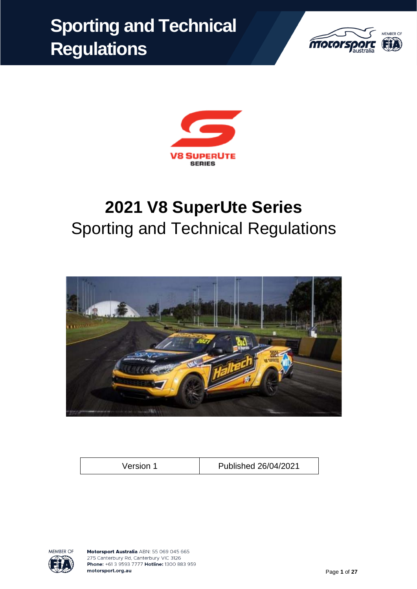# **Sporting and Technical Regulations**





# **2021 V8 SuperUte Series** Sporting and Technical Regulations



Version 1 Published 26/04/2021

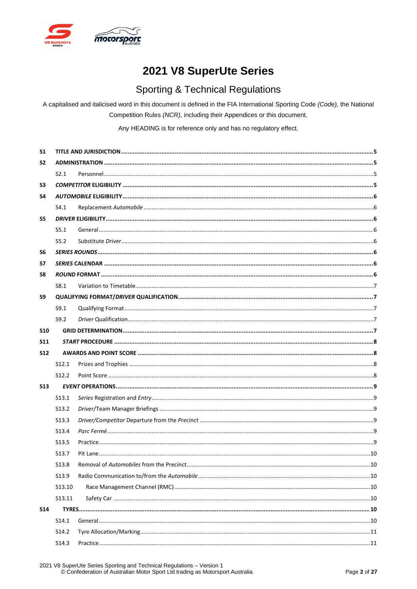

## 2021 V8 SuperUte Series

## **Sporting & Technical Regulations**

A capitalised and italicised word in this document is defined in the FIA International Sporting Code (Code), the National Competition Rules (NCR), including their Appendices or this document.

Any HEADING is for reference only and has no regulatory effect.

| S <sub>1</sub> |                   |  |  |  |
|----------------|-------------------|--|--|--|
| S <sub>2</sub> |                   |  |  |  |
|                | S2.1              |  |  |  |
| S3             |                   |  |  |  |
| S4             |                   |  |  |  |
|                | S4.1              |  |  |  |
| S5             |                   |  |  |  |
|                | S5.1              |  |  |  |
|                | S5.2              |  |  |  |
| S6             |                   |  |  |  |
| S7             |                   |  |  |  |
| S8             |                   |  |  |  |
|                | S8.1              |  |  |  |
| S9             |                   |  |  |  |
|                | S9.1              |  |  |  |
|                | S9.2              |  |  |  |
| <b>S10</b>     |                   |  |  |  |
| <b>S11</b>     |                   |  |  |  |
| <b>S12</b>     |                   |  |  |  |
|                |                   |  |  |  |
|                | S <sub>12.1</sub> |  |  |  |
|                | S <sub>12.2</sub> |  |  |  |
| <b>S13</b>     |                   |  |  |  |
|                | S <sub>13.1</sub> |  |  |  |
|                | S <sub>13.2</sub> |  |  |  |
|                | S <sub>13.3</sub> |  |  |  |
|                | S <sub>13.4</sub> |  |  |  |
|                | S <sub>13.5</sub> |  |  |  |
|                | S <sub>13.7</sub> |  |  |  |
|                | S13.8             |  |  |  |
|                | S13.9             |  |  |  |
|                | S13.10            |  |  |  |
|                | S13.11            |  |  |  |
| <b>S14</b>     |                   |  |  |  |
|                | S14.1             |  |  |  |
|                | S14.2             |  |  |  |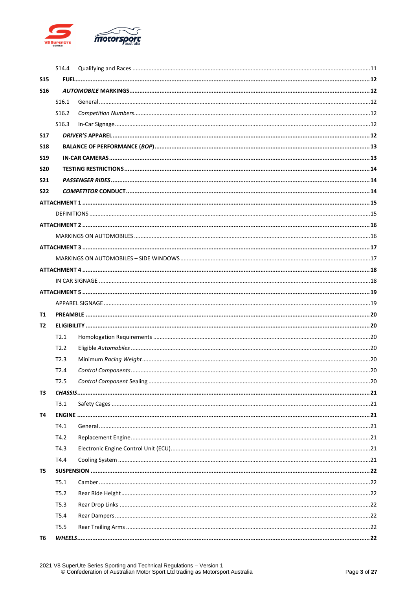

|            | S14.4             |  |  |  |
|------------|-------------------|--|--|--|
| <b>S15</b> |                   |  |  |  |
| <b>S16</b> |                   |  |  |  |
|            | S <sub>16.1</sub> |  |  |  |
|            | S <sub>16.2</sub> |  |  |  |
|            | S <sub>16.3</sub> |  |  |  |
| <b>S17</b> |                   |  |  |  |
| <b>S18</b> |                   |  |  |  |
| <b>S19</b> |                   |  |  |  |
| <b>S20</b> |                   |  |  |  |
| <b>S21</b> |                   |  |  |  |
| <b>S22</b> |                   |  |  |  |
|            |                   |  |  |  |
|            |                   |  |  |  |
|            |                   |  |  |  |
|            |                   |  |  |  |
|            |                   |  |  |  |
|            |                   |  |  |  |
|            |                   |  |  |  |
|            |                   |  |  |  |
|            |                   |  |  |  |
|            |                   |  |  |  |
| Т1         |                   |  |  |  |
| Т2         |                   |  |  |  |
|            | T2.1              |  |  |  |
|            | T2.2              |  |  |  |
|            | T2.3              |  |  |  |
|            | T2.4              |  |  |  |
|            | T2.5              |  |  |  |
| тз         |                   |  |  |  |
|            | T3.1              |  |  |  |
| Т4         |                   |  |  |  |
|            | T4.1              |  |  |  |
|            | T4.2              |  |  |  |
|            | T4.3              |  |  |  |
|            | T4.4              |  |  |  |
| T5         |                   |  |  |  |
|            | T5.1              |  |  |  |
|            | T5.2              |  |  |  |
|            | T5.3              |  |  |  |
|            | T5.4              |  |  |  |
|            | T5.5              |  |  |  |
| Т6         |                   |  |  |  |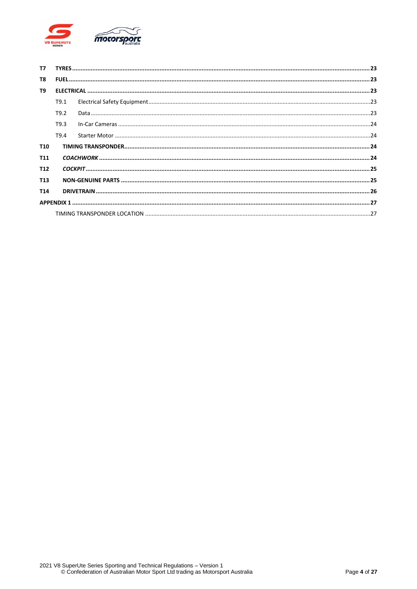

| T7              |                  |  |  |
|-----------------|------------------|--|--|
| T8              |                  |  |  |
| T9              |                  |  |  |
|                 | T9.1             |  |  |
|                 | T <sub>9.2</sub> |  |  |
|                 | T9.3             |  |  |
|                 | T <sub>9.4</sub> |  |  |
| T <sub>10</sub> |                  |  |  |
| T <sub>11</sub> |                  |  |  |
| T <sub>12</sub> |                  |  |  |
| T <sub>13</sub> |                  |  |  |
| T <sub>14</sub> |                  |  |  |
|                 |                  |  |  |
|                 |                  |  |  |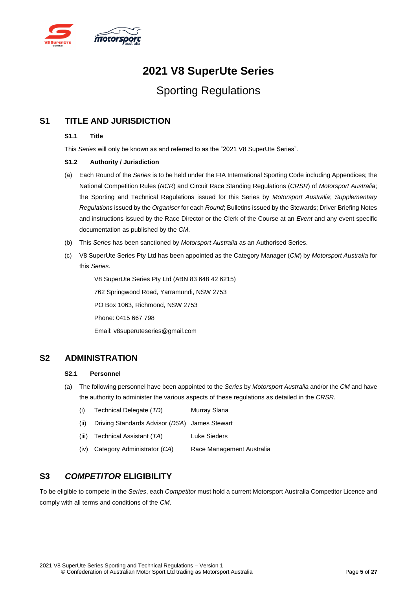

## **2021 V8 SuperUte Series**

## Sporting Regulations

## <span id="page-4-0"></span>**S1 TITLE AND JURISDICTION**

#### **S1.1 Title**

This *Series* will only be known as and referred to as the "2021 V8 SuperUte Series".

#### **S1.2 Authority / Jurisdiction**

- (a) Each Round of the *Series* is to be held under the FIA International Sporting Code including Appendices; the National Competition Rules (*NCR*) and Circuit Race Standing Regulations (*CRSR*) of *Motorsport Australia*; the Sporting and Technical Regulations issued for this Series by *Motorsport Australia*; *Supplementary Regulations* issued by the *Organiser* for each *Round*; Bulletins issued by the Stewards; Driver Briefing Notes and instructions issued by the Race Director or the Clerk of the Course at an *Event* and any event specific documentation as published by the *CM*.
- (b) This *Series* has been sanctioned by *Motorsport Australia* as an Authorised Series.
- (c) V8 SuperUte Series Pty Ltd has been appointed as the Category Manager (*CM*) by *Motorsport Australia* for this *Series*.

V8 SuperUte Series Pty Ltd (ABN 83 648 42 6215) 762 Springwood Road, Yarramundi, NSW 2753 PO Box 1063, Richmond, NSW 2753 Phone: 0415 667 798 Email: v8superuteseries@gmail.com

## <span id="page-4-2"></span><span id="page-4-1"></span>**S2 ADMINISTRATION**

#### **S2.1 Personnel**

- (a) The following personnel have been appointed to the *Series* by *Motorsport Australia* and/or the *CM* and have the authority to administer the various aspects of these regulations as detailed in the *CRSR*.
	- (i) Technical Delegate (*TD*) Murray Slana (ii) Driving Standards Advisor (*DSA*) James Stewart (iii) Technical Assistant (*TA*) Luke Sieders (iv) Category Administrator (*CA*) Race Management Australia

## <span id="page-4-3"></span>**S3** *COMPETITOR* **ELIGIBILITY**

To be eligible to compete in the *Series*, each *Competitor* must hold a current Motorsport Australia Competitor Licence and comply with all terms and conditions of the *CM*.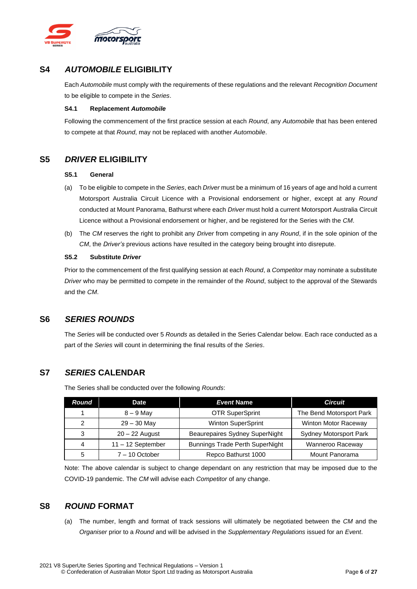

## <span id="page-5-0"></span>**S4** *AUTOMOBILE* **ELIGIBILITY**

Each *Automobile* must comply with the requirements of these regulations and the relevant *Recognition Document* to be eligible to compete in the *Series*.

#### <span id="page-5-1"></span>**S4.1 Replacement** *Automobile*

Following the commencement of the first practice session at each *Round*, any *Automobile* that has been entered to compete at that *Round*, may not be replaced with another *Automobile*.

## <span id="page-5-3"></span><span id="page-5-2"></span>**S5** *DRIVER* **ELIGIBILITY**

#### **S5.1 General**

- (a) To be eligible to compete in the *Series*, each *Driver* must be a minimum of 16 years of age and hold a current Motorsport Australia Circuit Licence with a Provisional endorsement or higher, except at any *Round* conducted at Mount Panorama, Bathurst where each *Driver* must hold a current Motorsport Australia Circuit Licence without a Provisional endorsement or higher, and be registered for the Series with the *CM*.
- (b) The *CM* reserves the right to prohibit any *Driver* from competing in any *Round*, if in the sole opinion of the *CM*, the *Driver's* previous actions have resulted in the category being brought into disrepute.

#### <span id="page-5-4"></span>**S5.2 Substitute** *Driver*

Prior to the commencement of the first qualifying session at each *Round*, a *Competitor* may nominate a substitute *Driver* who may be permitted to compete in the remainder of the *Round*, subject to the approval of the Stewards and the *CM*.

## <span id="page-5-5"></span>**S6** *SERIES ROUNDS*

The *Series* will be conducted over 5 *Rounds* as detailed in the Series Calendar below. Each race conducted as a part of the *Series* will count in determining the final results of the *Series*.

## <span id="page-5-6"></span>**S7** *SERIES* **CALENDAR**

The Series shall be conducted over the following *Rounds*:

| Round | <b>Date</b>         | <b>Event Name</b>                      | <b>Circuit</b>                |
|-------|---------------------|----------------------------------------|-------------------------------|
|       | $8 - 9$ May         | <b>OTR SuperSprint</b>                 | The Bend Motorsport Park      |
| 2     | $29 - 30$ May       | <b>Winton SuperSprint</b>              | Winton Motor Raceway          |
| 3     | $20 - 22$ August    | Beaurepaires Sydney SuperNight         | <b>Sydney Motorsport Park</b> |
| 4     | $11 - 12$ September | <b>Bunnings Trade Perth SuperNight</b> | Wanneroo Raceway              |
| 5     | $7 - 10$ October    | Repco Bathurst 1000                    | Mount Panorama                |

Note: The above calendar is subject to change dependant on any restriction that may be imposed due to the COVID-19 pandemic. The *CM* will advise each *Competitor* of any change.

## <span id="page-5-7"></span>**S8** *ROUND* **FORMAT**

(a) The number, length and format of track sessions will ultimately be negotiated between the *CM* and the *Organiser* prior to a *Round* and will be advised in the *Supplementary Regulations* issued for an *Event*.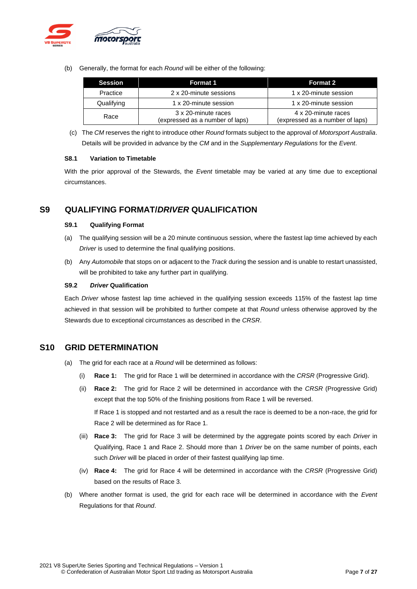

(b) Generally, the format for each *Round* will be either of the following:

| <b>Session</b> | <b>Format 1</b>                                        | Format 2                                               |
|----------------|--------------------------------------------------------|--------------------------------------------------------|
| Practice       | 2 x 20-minute sessions                                 | 1 x 20-minute session                                  |
| Qualifying     | 1 x 20-minute session                                  | 1 x 20-minute session                                  |
| Race           | 3 x 20-minute races<br>(expressed as a number of laps) | 4 x 20-minute races<br>(expressed as a number of laps) |

(c) The *CM* reserves the right to introduce other *Round* formats subject to the approval of *Motorsport Australia*. Details will be provided in advance by the *CM* and in the *Supplementary Regulations* for the *Event*.

#### <span id="page-6-0"></span>**S8.1 Variation to Timetable**

With the prior approval of the Stewards, the *Event* timetable may be varied at any time due to exceptional circumstances.

## <span id="page-6-2"></span><span id="page-6-1"></span>**S9 QUALIFYING FORMAT/***DRIVER* **QUALIFICATION**

#### **S9.1 Qualifying Format**

- (a) The qualifying session will be a 20 minute continuous session, where the fastest lap time achieved by each *Driver* is used to determine the final qualifying positions.
- (b) Any *Automobile* that stops on or adjacent to the *Track* during the session and is unable to restart unassisted, will be prohibited to take any further part in qualifying.

#### <span id="page-6-3"></span>**S9.2** *Driver* **Qualification**

Each *Driver* whose fastest lap time achieved in the qualifying session exceeds 115% of the fastest lap time achieved in that session will be prohibited to further compete at that *Round* unless otherwise approved by the Stewards due to exceptional circumstances as described in the *CRSR*.

## <span id="page-6-4"></span>**S10 GRID DETERMINATION**

- (a) The grid for each race at a *Round* will be determined as follows:
	- (i) **Race 1:** The grid for Race 1 will be determined in accordance with the *CRSR* (Progressive Grid).
	- (ii) **Race 2:** The grid for Race 2 will be determined in accordance with the *CRSR* (Progressive Grid) except that the top 50% of the finishing positions from Race 1 will be reversed. If Race 1 is stopped and not restarted and as a result the race is deemed to be a non-race, the grid for Race 2 will be determined as for Race 1.
	- (iii) **Race 3:** The grid for Race 3 will be determined by the aggregate points scored by each *Driver* in Qualifying, Race 1 and Race 2. Should more than 1 *Driver* be on the same number of points, each such *Driver* will be placed in order of their fastest qualifying lap time.
	- (iv) **Race 4:** The grid for Race 4 will be determined in accordance with the *CRSR* (Progressive Grid) based on the results of Race 3.
- (b) Where another format is used, the grid for each race will be determined in accordance with the *Event* Regulations for that *Round*.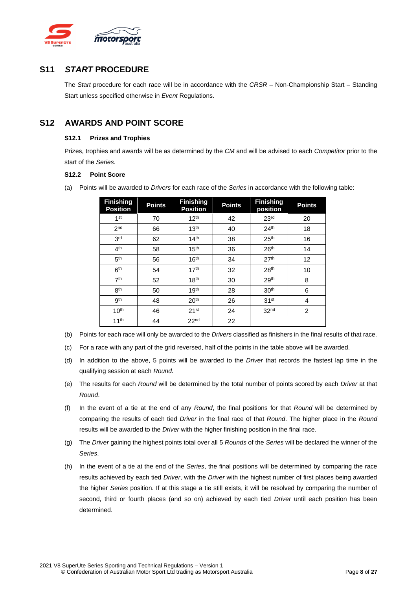

## <span id="page-7-0"></span>**S11** *START* **PROCEDURE**

The *Start* procedure for each race will be in accordance with the *CRSR* – Non-Championship Start – Standing Start unless specified otherwise in *Event* Regulations.

## <span id="page-7-2"></span><span id="page-7-1"></span>**S12 AWARDS AND POINT SCORE**

#### **S12.1 Prizes and Trophies**

Prizes, trophies and awards will be as determined by the *CM* and will be advised to each *Competitor* prior to the start of the *Series*.

#### <span id="page-7-3"></span>**S12.2 Point Score**

(a) Points will be awarded to *Drivers* for each race of the *Series* in accordance with the following table:

| <b>Finishing</b><br><b>Position</b> | <b>Points</b> | <b>Finishing</b><br><b>Position</b> | <b>Points</b> | <b>Finishing</b><br>position | <b>Points</b>  |
|-------------------------------------|---------------|-------------------------------------|---------------|------------------------------|----------------|
| 1 <sup>st</sup>                     | 70            | 12 <sup>th</sup>                    | 42            | 23 <sup>rd</sup>             | 20             |
| 2 <sub>nd</sub>                     | 66            | 13 <sup>th</sup>                    | 40            | 24 <sup>th</sup>             | 18             |
| 3 <sup>rd</sup>                     | 62            | 14 <sup>th</sup>                    | 38            | 25 <sup>th</sup>             | 16             |
| 4 <sup>th</sup>                     | 58            | 15 <sup>th</sup>                    | 36            | 26 <sup>th</sup>             | 14             |
| 5 <sup>th</sup>                     | 56            | 16 <sup>th</sup>                    | 34            | 27 <sup>th</sup>             | 12             |
| 6 <sup>th</sup>                     | 54            | 17 <sup>th</sup>                    | 32            | 28 <sup>th</sup>             | 10             |
| 7 <sup>th</sup>                     | 52            | 18 <sup>th</sup>                    | 30            | 29 <sup>th</sup>             | 8              |
| 8 <sup>th</sup>                     | 50            | 19 <sup>th</sup>                    | 28            | 30 <sup>th</sup>             | 6              |
| 9 <sup>th</sup>                     | 48            | 20 <sup>th</sup>                    | 26            | 31 <sup>st</sup>             | 4              |
| 10 <sup>th</sup>                    | 46            | 21 <sup>st</sup>                    | 24            | 32 <sup>nd</sup>             | $\overline{2}$ |
| 11 <sup>th</sup>                    | 44            | 22 <sup>nd</sup>                    | 22            |                              |                |

- (b) Points for each race will only be awarded to the *Drivers* classified as finishers in the final results of that race.
- (c) For a race with any part of the grid reversed, half of the points in the table above will be awarded.
- (d) In addition to the above, 5 points will be awarded to the *Driver* that records the fastest lap time in the qualifying session at each *Round.*
- (e) The results for each *Round* will be determined by the total number of points scored by each *Driver* at that *Round*.
- (f) In the event of a tie at the end of any *Round*, the final positions for that *Round* will be determined by comparing the results of each tied *Driver* in the final race of that *Round*. The higher place in the *Round* results will be awarded to the *Driver* with the higher finishing position in the final race.
- (g) The *Driver* gaining the highest points total over all 5 *Rounds* of the *Series* will be declared the winner of the *Series*.
- (h) In the event of a tie at the end of the *Series*, the final positions will be determined by comparing the race results achieved by each tied *Driver*, with the *Driver* with the highest number of first places being awarded the higher *Series* position. If at this stage a tie still exists, it will be resolved by comparing the number of second, third or fourth places (and so on) achieved by each tied *Driver* until each position has been determined.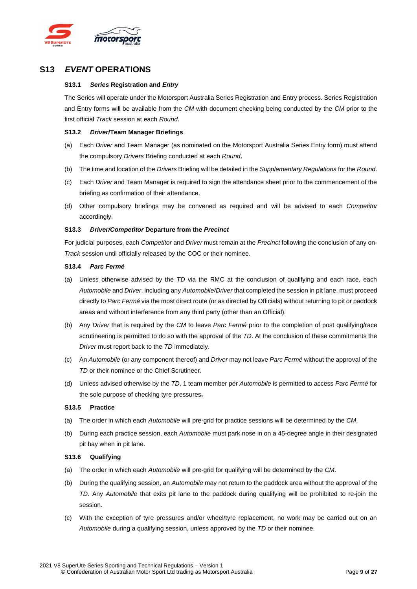

## <span id="page-8-1"></span><span id="page-8-0"></span>**S13** *EVENT* **OPERATIONS**

#### **S13.1** *Series* **Registration and** *Entry*

The Series will operate under the Motorsport Australia Series Registration and Entry process. Series Registration and Entry forms will be available from the *CM* with document checking being conducted by the *CM* prior to the first official *Track* session at each *Round*.

#### <span id="page-8-2"></span>**S13.2** *Driver***/Team Manager Briefings**

- (a) Each *Driver* and Team Manager (as nominated on the Motorsport Australia Series Entry form) must attend the compulsory *Drivers* Briefing conducted at each *Round*.
- (b) The time and location of the *Drivers* Briefing will be detailed in the *Supplementary Regulations* for the *Round*.
- (c) Each *Driver* and Team Manager is required to sign the attendance sheet prior to the commencement of the briefing as confirmation of their attendance.
- (d) Other compulsory briefings may be convened as required and will be advised to each *Competitor* accordingly.

#### <span id="page-8-3"></span>**S13.3** *Driver/Competitor* **Departure from the** *Precinct*

For judicial purposes, each *Competitor* and *Driver* must remain at the *Precinct* following the conclusion of any on-*Track* session until officially released by the COC or their nominee.

#### <span id="page-8-4"></span>**S13.4** *Parc Fermé*

- (a) Unless otherwise advised by the *TD* via the RMC at the conclusion of qualifying and each race, each *Automobile* and *Driver*, including any *Automobile/Driver* that completed the session in pit lane, must proceed directly to *Parc Fermé* via the most direct route (or as directed by Officials) without returning to pit or paddock areas and without interference from any third party (other than an Official).
- (b) Any *Driver* that is required by the *CM* to leave *Parc Fermé* prior to the completion of post qualifying/race scrutineering is permitted to do so with the approval of the *TD*. At the conclusion of these commitments the *Driver* must report back to the *TD* immediately.
- (c) An *Automobile* (or any component thereof) and *Driver* may not leave *Parc Fermé* without the approval of the *TD* or their nominee or the Chief Scrutineer.
- (d) Unless advised otherwise by the *TD*, 1 team member per *Automobile* is permitted to access *Parc Fermé* for the sole purpose of checking tyre pressures.

#### <span id="page-8-5"></span>**S13.5 Practice**

- (a) The order in which each *Automobile* will pre-grid for practice sessions will be determined by the *CM*.
- (b) During each practice session, each *Automobile* must park nose in on a 45-degree angle in their designated pit bay when in pit lane.

#### **S13.6 Qualifying**

- (a) The order in which each *Automobile* will pre-grid for qualifying will be determined by the *CM*.
- (b) During the qualifying session, an *Automobile* may not return to the paddock area without the approval of the *TD*. Any *Automobile* that exits pit lane to the paddock during qualifying will be prohibited to re-join the session.
- (c) With the exception of tyre pressures and/or wheel/tyre replacement, no work may be carried out on an *Automobile* during a qualifying session, unless approved by the *TD* or their nominee.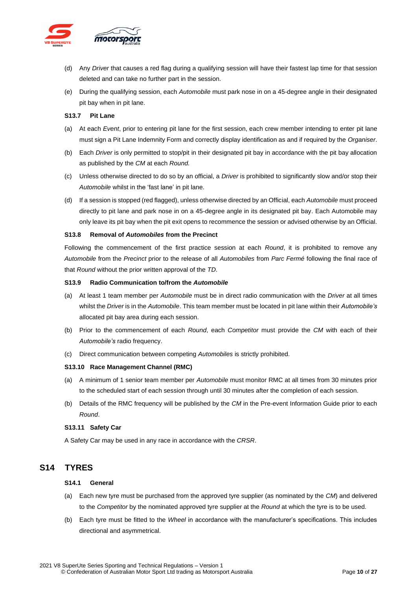

- (d) Any *Driver* that causes a red flag during a qualifying session will have their fastest lap time for that session deleted and can take no further part in the session.
- (e) During the qualifying session, each *Automobile* must park nose in on a 45-degree angle in their designated pit bay when in pit lane.

#### <span id="page-9-0"></span>**S13.7 Pit Lane**

- (a) At each *Event*, prior to entering pit lane for the first session, each crew member intending to enter pit lane must sign a Pit Lane Indemnity Form and correctly display identification as and if required by the *Organiser*.
- (b) Each *Driver* is only permitted to stop/pit in their designated pit bay in accordance with the pit bay allocation as published by the *CM* at each *Round.*
- (c) Unless otherwise directed to do so by an official, a *Driver* is prohibited to significantly slow and/or stop their *Automobile* whilst in the 'fast lane' in pit lane.
- (d) If a session is stopped (red flagged), unless otherwise directed by an Official, each *Automobile* must proceed directly to pit lane and park nose in on a 45-degree angle in its designated pit bay. Each Automobile may only leave its pit bay when the pit exit opens to recommence the session or advised otherwise by an Official.

#### <span id="page-9-1"></span>**S13.8 Removal of** *Automobiles* **from the Precinct**

Following the commencement of the first practice session at each *Round*, it is prohibited to remove any *Automobile* from the *Precinct* prior to the release of all *Automobiles* from *Parc Fermé* following the final race of that *Round* without the prior written approval of the *TD*.

#### <span id="page-9-2"></span>**S13.9 Radio Communication to/from the** *Automobile*

- (a) At least 1 team member per *Automobile* must be in direct radio communication with the *Driver* at all times whilst the *Driver* is in the *Automobile*. This team member must be located in pit lane within their *Automobile's* allocated pit bay area during each session.
- (b) Prior to the commencement of each *Round*, each *Competitor* must provide the *CM* with each of their *Automobile's* radio frequency.
- (c) Direct communication between competing *Automobiles* is strictly prohibited.

#### <span id="page-9-3"></span>**S13.10 Race Management Channel (RMC)**

- (a) A minimum of 1 senior team member per *Automobile* must monitor RMC at all times from 30 minutes prior to the scheduled start of each session through until 30 minutes after the completion of each session.
- (b) Details of the RMC frequency will be published by the *CM* in the Pre-event Information Guide prior to each *Round*.

#### <span id="page-9-4"></span>**S13.11 Safety Car**

A Safety Car may be used in any race in accordance with the *CRSR*.

## <span id="page-9-6"></span><span id="page-9-5"></span>**S14 TYRES**

#### **S14.1 General**

- (a) Each new tyre must be purchased from the approved tyre supplier (as nominated by the *CM*) and delivered to the *Competitor* by the nominated approved tyre supplier at the *Round* at which the tyre is to be used.
- (b) Each tyre must be fitted to the *Wheel* in accordance with the manufacturer's specifications. This includes directional and asymmetrical.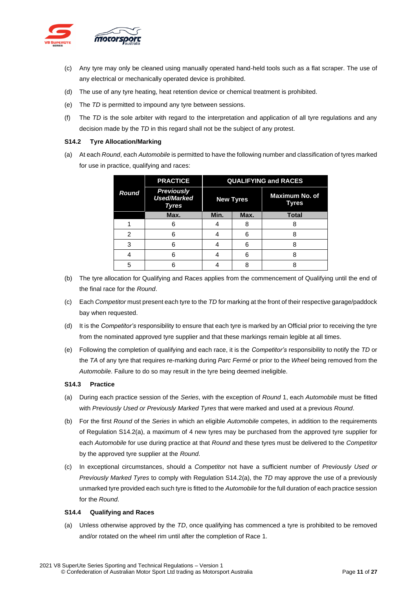

- (c) Any tyre may only be cleaned using manually operated hand-held tools such as a flat scraper. The use of any electrical or mechanically operated device is prohibited.
- (d) The use of any tyre heating, heat retention device or chemical treatment is prohibited.
- (e) The *TD* is permitted to impound any tyre between sessions.
- (f) The *TD* is the sole arbiter with regard to the interpretation and application of all tyre regulations and any decision made by the *TD* in this regard shall not be the subject of any protest.

#### <span id="page-10-0"></span>**S14.2 Tyre Allocation/Marking**

(a) At each *Round*, each *Automobile* is permitted to have the following number and classification of tyres marked for use in practice, qualifying and races:

|              | <b>PRACTICE</b>                                  | <b>QUALIFYING and RACES</b> |      |                         |  |
|--------------|--------------------------------------------------|-----------------------------|------|-------------------------|--|
| <b>Round</b> | <b>Previously</b><br><b>Used/Marked</b><br>Tyres | <b>New Tyres</b>            |      | Maximum No. of<br>Tyres |  |
|              | Max.                                             | Min.                        | Max. | <b>Total</b>            |  |
|              |                                                  |                             | 8    |                         |  |
| 2            | հ                                                |                             | 6    |                         |  |
| 3            | հ                                                |                             | 6    |                         |  |
|              | հ                                                |                             | 6    |                         |  |
| 5            |                                                  |                             | 8    |                         |  |

- (b) The tyre allocation for Qualifying and Races applies from the commencement of Qualifying until the end of the final race for the *Round*.
- (c) Each *Competitor* must present each tyre to the *TD* for marking at the front of their respective garage/paddock bay when requested.
- (d) It is the *Competitor's* responsibility to ensure that each tyre is marked by an Official prior to receiving the tyre from the nominated approved tyre supplier and that these markings remain legible at all times.
- (e) Following the completion of qualifying and each race, it is the *Competitor's* responsibility to notify the *TD* or the *TA* of any tyre that requires re-marking during *Parc Fermé* or prior to the *Wheel* being removed from the *Automobile*. Failure to do so may result in the tyre being deemed ineligible.

#### <span id="page-10-1"></span>**S14.3 Practice**

- (a) During each practice session of the *Series*, with the exception of *Round* 1, each *Automobile* must be fitted with *Previously Used or Previously Marked Tyres* that were marked and used at a previous *Round*.
- (b) For the first *Round* of the *Series* in which an eligible *Automobile* competes, in addition to the requirements of Regulation S14.2(a), a maximum of 4 new tyres may be purchased from the approved tyre supplier for each *Automobile* for use during practice at that *Round* and these tyres must be delivered to the *Competitor*  by the approved tyre supplier at the *Round*.
- (c) In exceptional circumstances, should a *Competitor* not have a sufficient number of *Previously Used or Previously Marked Tyres* to comply with Regulation S14.2(a), the *TD* may approve the use of a previously unmarked tyre provided each such tyre is fitted to the *Automobile* for the full duration of each practice session for the *Round*.

#### <span id="page-10-2"></span>**S14.4 Qualifying and Races**

(a) Unless otherwise approved by the *TD*, once qualifying has commenced a tyre is prohibited to be removed and/or rotated on the wheel rim until after the completion of Race 1.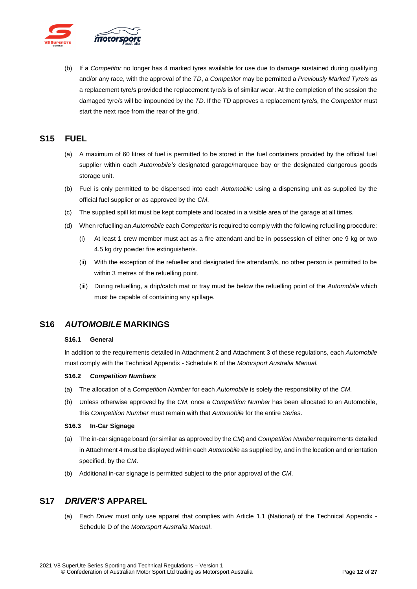

(b) If a *Competitor* no longer has 4 marked tyres available for use due to damage sustained during qualifying and/or any race, with the approval of the *TD*, a *Competitor* may be permitted a *Previously Marked Tyre/s* as a replacement tyre/s provided the replacement tyre/s is of similar wear. At the completion of the session the damaged tyre/s will be impounded by the *TD*. If the *TD* approves a replacement tyre/s, the *Competitor* must start the next race from the rear of the grid.

## <span id="page-11-0"></span>**S15 FUEL**

- (a) A maximum of 60 litres of fuel is permitted to be stored in the fuel containers provided by the official fuel supplier within each *Automobile's* designated garage/marquee bay or the designated dangerous goods storage unit.
- (b) Fuel is only permitted to be dispensed into each *Automobile* using a dispensing unit as supplied by the official fuel supplier or as approved by the *CM*.
- (c) The supplied spill kit must be kept complete and located in a visible area of the garage at all times.
- (d) When refuelling an *Automobile* each *Competitor* is required to comply with the following refuelling procedure:
	- (i) At least 1 crew member must act as a fire attendant and be in possession of either one 9 kg or two 4.5 kg dry powder fire extinguisher/s.
	- (ii) With the exception of the refueller and designated fire attendant/s, no other person is permitted to be within 3 metres of the refuelling point.
	- (iii) During refuelling, a drip/catch mat or tray must be below the refuelling point of the *Automobile* which must be capable of containing any spillage.

## <span id="page-11-2"></span><span id="page-11-1"></span>**S16** *AUTOMOBILE* **MARKINGS**

#### **S16.1 General**

In addition to the requirements detailed in Attachment 2 and Attachment 3 of these regulations, each *Automobile* must comply with the Technical Appendix - Schedule K of the *Motorsport Australia Manual*.

#### <span id="page-11-3"></span>**S16.2** *Competition Numbers*

- (a) The allocation of a *Competition Number* for each *Automobile* is solely the responsibility of the *CM*.
- (b) Unless otherwise approved by the *CM*, once a *Competition Number* has been allocated to an Automobile, this *Competition Number* must remain with that *Automobile* for the entire *Series*.

### <span id="page-11-4"></span>**S16.3 In-Car Signage**

- (a) The in-car signage board (or similar as approved by the *CM*) and *Competition Number* requirements detailed in Attachment 4 must be displayed within each *Automobile* as supplied by, and in the location and orientation specified, by the *CM*.
- (b) Additional in-car signage is permitted subject to the prior approval of the *CM*.

## <span id="page-11-5"></span>**S17** *DRIVER'S* **APPAREL**

(a) Each *Driver* must only use apparel that complies with Article 1.1 (National) of the Technical Appendix - Schedule D of the *Motorsport Australia Manual*.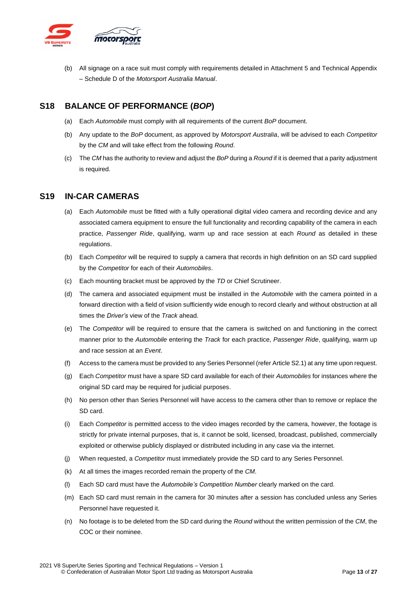

(b) All signage on a race suit must comply with requirements detailed in Attachment 5 and Technical Appendix – Schedule D of the *Motorsport Australia Manual*.

## <span id="page-12-0"></span>**S18 BALANCE OF PERFORMANCE (***BOP***)**

- (a) Each *Automobile* must comply with all requirements of the current *BoP* document.
- (b) Any update to the *BoP* document, as approved by *Motorsport Australia*, will be advised to each *Competitor* by the *CM* and will take effect from the following *Round*.
- (c) The *CM* has the authority to review and adjust the *BoP* during a *Round* if it is deemed that a parity adjustment is required.

## <span id="page-12-1"></span>**S19 IN-CAR CAMERAS**

- (a) Each *Automobile* must be fitted with a fully operational digital video camera and recording device and any associated camera equipment to ensure the full functionality and recording capability of the camera in each practice, *Passenger Ride*, qualifying, warm up and race session at each *Round* as detailed in these regulations.
- (b) Each *Competitor* will be required to supply a camera that records in high definition on an SD card supplied by the *Competitor* for each of their *Automobiles*.
- (c) Each mounting bracket must be approved by the *TD* or Chief Scrutineer.
- (d) The camera and associated equipment must be installed in the *Automobile* with the camera pointed in a forward direction with a field of vision sufficiently wide enough to record clearly and without obstruction at all times the *Driver's* view of the *Track* ahead.
- (e) The *Competitor* will be required to ensure that the camera is switched on and functioning in the correct manner prior to the *Automobile* entering the *Track* for each practice, *Passenger Ride*, qualifying, warm up and race session at an *Event*.
- (f) Access to the camera must be provided to any Series Personnel (refer Article S2.1) at any time upon request.
- (g) Each *Competitor* must have a spare SD card available for each of their *Automobiles* for instances where the original SD card may be required for judicial purposes.
- (h) No person other than Series Personnel will have access to the camera other than to remove or replace the SD card.
- (i) Each *Competitor* is permitted access to the video images recorded by the camera, however, the footage is strictly for private internal purposes, that is, it cannot be sold, licensed, broadcast, published, commercially exploited or otherwise publicly displayed or distributed including in any case via the internet.
- (j) When requested, a *Competitor* must immediately provide the SD card to any Series Personnel.
- (k) At all times the images recorded remain the property of the *CM*.
- (l) Each SD card must have the *Automobile's Competition Number* clearly marked on the card.
- (m) Each SD card must remain in the camera for 30 minutes after a session has concluded unless any Series Personnel have requested it.
- (n) No footage is to be deleted from the SD card during the *Round* without the written permission of the *CM*, the COC or their nominee.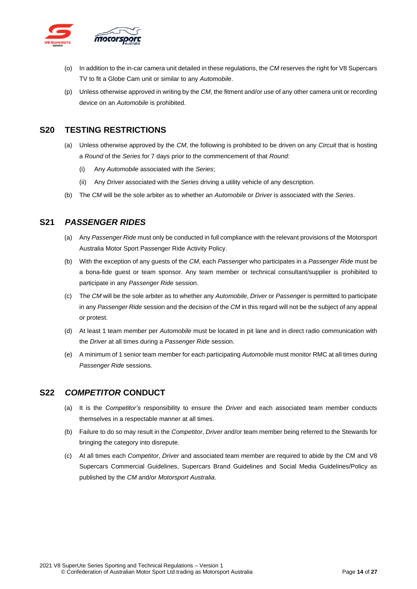

- (o) In addition to the in-car camera unit detailed in these regulations, the *CM* reserves the right for V8 Supercars TV to fit a Globe Cam unit or similar to any *Automobile*.
- (p) Unless otherwise approved in writing by the *CM*, the fitment and/or use of any other camera unit or recording device on an *Automobile* is prohibited.

## <span id="page-13-0"></span>**S20 TESTING RESTRICTIONS**

- (a) Unless otherwise approved by the *CM*, the following is prohibited to be driven on any *Circuit* that is hosting a *Round* of the *Series* for 7 days prior to the commencement of that *Round*:
	- (i) Any *Automobile* associated with the *Series*;
	- (ii) Any *Driver* associated with the *Series* driving a utility vehicle of any description.
- (b) The *CM* will be the sole arbiter as to whether an *Automobile* or *Driver* is associated with the *Series*.

## <span id="page-13-1"></span>**S21** *PASSENGER RIDES*

- (a) Any *Passenger Ride* must only be conducted in full compliance with the relevant provisions of the Motorsport Australia Motor Sport Passenger Ride Activity Policy.
- (b) With the exception of any guests of the *CM*, each *Passenger* who participates in a *Passenger Ride* must be a bona-fide guest or team sponsor. Any team member or technical consultant/supplier is prohibited to participate in any *Passenger Ride* session.
- (c) The *CM* will be the sole arbiter as to whether any *Automobile*, *Driver* or *Passenger* is permitted to participate in any *Passenger Ride* session and the decision of the *CM* in this regard will not be the subject of any appeal or protest.
- (d) At least 1 team member per *Automobile* must be located in pit lane and in direct radio communication with the *Driver* at all times during a *Passenger Ride* session.
- (e) A minimum of 1 senior team member for each participating *Automobile* must monitor RMC at all times during *Passenger Ride* sessions.

## <span id="page-13-2"></span>**S22** *COMPETITOR* **CONDUCT**

- (a) It is the *Competitor's* responsibility to ensure the *Driver* and each associated team member conducts themselves in a respectable manner at all times.
- (b) Failure to do so may result in the *Competitor*, *Driver* and/or team member being referred to the Stewards for bringing the category into disrepute.
- (c) At all times each *Competitor*, *Driver* and associated team member are required to abide by the CM and V8 Supercars Commercial Guidelines, Supercars Brand Guidelines and Social Media Guidelines/Policy as published by the *CM* and/or *Motorsport Australia*.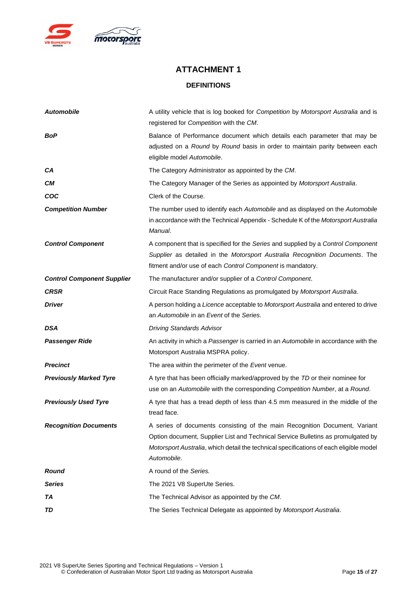

## **ATTACHMENT 1 DEFINITIONS**

<span id="page-14-1"></span><span id="page-14-0"></span>

| <b>Automobile</b>                 | A utility vehicle that is log booked for Competition by Motorsport Australia and is<br>registered for Competition with the CM.                                                                                                                                          |
|-----------------------------------|-------------------------------------------------------------------------------------------------------------------------------------------------------------------------------------------------------------------------------------------------------------------------|
| BoP                               | Balance of Performance document which details each parameter that may be<br>adjusted on a Round by Round basis in order to maintain parity between each<br>eligible model Automobile.                                                                                   |
| CА                                | The Category Administrator as appointed by the CM.                                                                                                                                                                                                                      |
| CМ                                | The Category Manager of the Series as appointed by Motorsport Australia.                                                                                                                                                                                                |
| COC                               | Clerk of the Course.                                                                                                                                                                                                                                                    |
| <b>Competition Number</b>         | The number used to identify each Automobile and as displayed on the Automobile<br>in accordance with the Technical Appendix - Schedule K of the Motorsport Australia<br>Manual.                                                                                         |
| <b>Control Component</b>          | A component that is specified for the Series and supplied by a Control Component<br>Supplier as detailed in the Motorsport Australia Recognition Documents. The<br>fitment and/or use of each Control Component is mandatory.                                           |
| <b>Control Component Supplier</b> | The manufacturer and/or supplier of a Control Component.                                                                                                                                                                                                                |
| <b>CRSR</b>                       | Circuit Race Standing Regulations as promulgated by Motorsport Australia.                                                                                                                                                                                               |
| <b>Driver</b>                     | A person holding a Licence acceptable to Motorsport Australia and entered to drive<br>an Automobile in an Event of the Series.                                                                                                                                          |
| <b>DSA</b>                        | <b>Driving Standards Advisor</b>                                                                                                                                                                                                                                        |
| <b>Passenger Ride</b>             | An activity in which a Passenger is carried in an Automobile in accordance with the<br>Motorsport Australia MSPRA policy.                                                                                                                                               |
| <b>Precinct</b>                   | The area within the perimeter of the Event venue.                                                                                                                                                                                                                       |
| <b>Previously Marked Tyre</b>     | A tyre that has been officially marked/approved by the TD or their nominee for<br>use on an Automobile with the corresponding Competition Number, at a Round.                                                                                                           |
| <b>Previously Used Tyre</b>       | A tyre that has a tread depth of less than 4.5 mm measured in the middle of the<br>tread face.                                                                                                                                                                          |
| <b>Recognition Documents</b>      | A series of documents consisting of the main Recognition Document, Variant<br>Option document, Supplier List and Technical Service Bulletins as promulgated by<br>Motorsport Australia, which detail the technical specifications of each eligible model<br>Automobile. |
| <b>Round</b>                      | A round of the Series.                                                                                                                                                                                                                                                  |
| <b>Series</b>                     | The 2021 V8 SuperUte Series.                                                                                                                                                                                                                                            |
| TA                                | The Technical Advisor as appointed by the CM.                                                                                                                                                                                                                           |
| TD                                | The Series Technical Delegate as appointed by Motorsport Australia.                                                                                                                                                                                                     |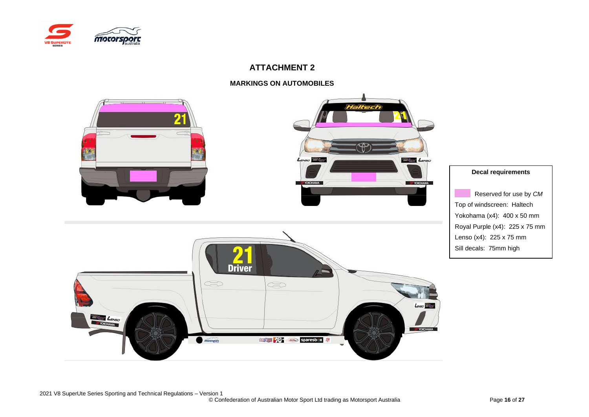

## **MARKINGS ON AUTOMOBILES**

<span id="page-15-1"></span><span id="page-15-0"></span>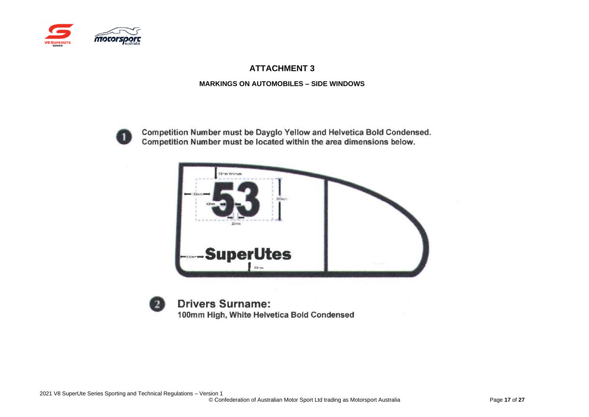

### **MARKINGS ON AUTOMOBILES – SIDE WINDOWS**



Competition Number must be Dayglo Yellow and Helvetica Bold Condensed. Competition Number must be located within the area dimensions below.



<span id="page-16-1"></span><span id="page-16-0"></span>

**Drivers Surname:** 100mm High, White Helvetica Bold Condensed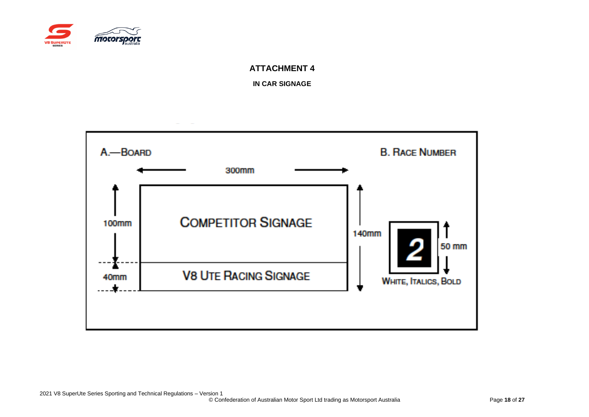

**IN CAR SIGNAGE**

<span id="page-17-1"></span><span id="page-17-0"></span>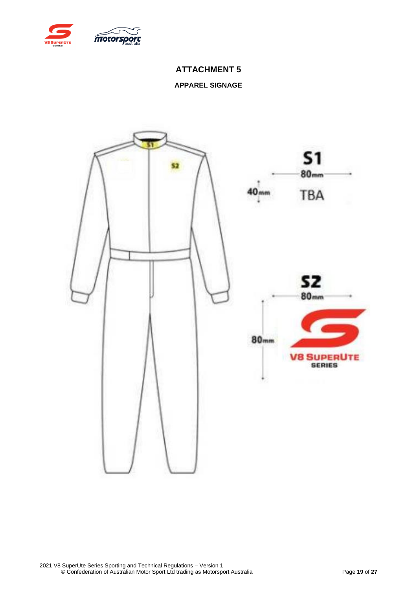<span id="page-18-0"></span>

## **APPAREL SIGNAGE**

<span id="page-18-1"></span>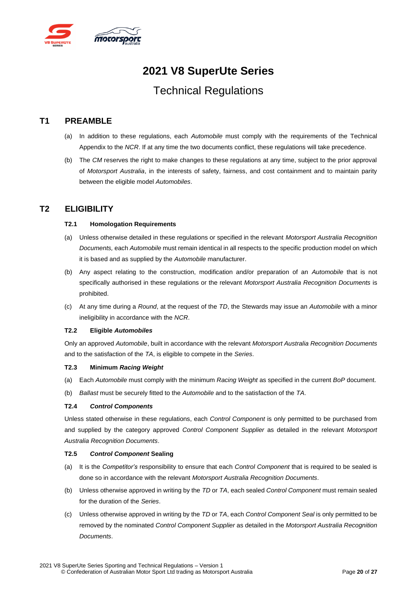

## **2021 V8 SuperUte Series**

## Technical Regulations

## <span id="page-19-0"></span>**T1 PREAMBLE**

- (a) In addition to these regulations, each *Automobile* must comply with the requirements of the Technical Appendix to the *NCR*. If at any time the two documents conflict, these regulations will take precedence.
- (b) The *CM* reserves the right to make changes to these regulations at any time, subject to the prior approval of *Motorsport Australia*, in the interests of safety, fairness, and cost containment and to maintain parity between the eligible model *Automobiles*.

## <span id="page-19-2"></span><span id="page-19-1"></span>**T2 ELIGIBILITY**

#### **T2.1 Homologation Requirements**

- (a) Unless otherwise detailed in these regulations or specified in the relevant *Motorsport Australia Recognition Documents,* each *Automobile* must remain identical in all respects to the specific production model on which it is based and as supplied by the *Automobile* manufacturer.
- (b) Any aspect relating to the construction, modification and/or preparation of an *Automobile* that is not specifically authorised in these regulations or the relevant *Motorsport Australia Recognition Documents* is prohibited.
- (c) At any time during a *Round*, at the request of the *TD*, the Stewards may issue an *Automobile* with a minor ineligibility in accordance with the *NCR*.

#### <span id="page-19-3"></span>**T2.2 Eligible** *Automobiles*

Only an approved *Automobile*, built in accordance with the relevant *Motorsport Australia Recognition Documents* and to the satisfaction of the *TA*, is eligible to compete in the *Series*.

#### <span id="page-19-4"></span>**T2.3 Minimum** *Racing Weight*

- (a) Each *Automobile* must comply with the minimum *Racing Weight* as specified in the current *BoP* document.
- (b) *Ballast* must be securely fitted to the *Automobile* and to the satisfaction of the *TA*.

### <span id="page-19-5"></span>**T2.4** *Control Components*

Unless stated otherwise in these regulations, each *Control Component* is only permitted to be purchased from and supplied by the category approved *Control Component Supplier* as detailed in the relevant *Motorsport Australia Recognition Documents*.

#### <span id="page-19-6"></span>**T2.5** *Control Component* **Sealing**

- (a) It is the *Competitor's* responsibility to ensure that each *Control Component* that is required to be sealed is done so in accordance with the relevant *Motorsport Australia Recognition Documents*.
- (b) Unless otherwise approved in writing by the *TD* or *TA*, each sealed *Control Component* must remain sealed for the duration of the *Series*.
- (c) Unless otherwise approved in writing by the *TD* or *TA*, each *Control Component Seal* is only permitted to be removed by the nominated *Control Component Supplier* as detailed in the *Motorsport Australia Recognition Documents*.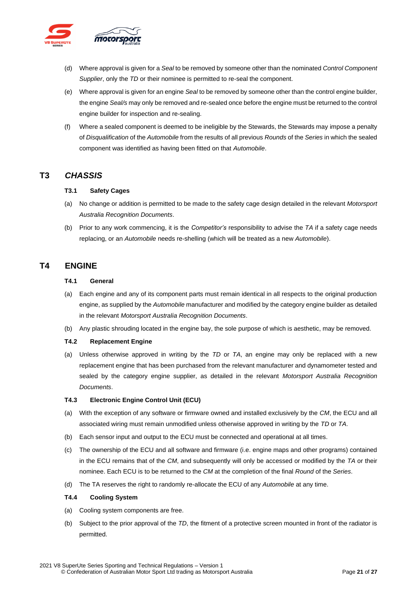

- (d) Where approval is given for a *Seal* to be removed by someone other than the nominated *Control Component Supplier*, only the *TD* or their nominee is permitted to re-seal the component.
- (e) Where approval is given for an engine *Seal* to be removed by someone other than the control engine builder, the engine *Seal/s* may only be removed and re-sealed once before the engine must be returned to the control engine builder for inspection and re-sealing.
- (f) Where a sealed component is deemed to be ineligible by the Stewards, the Stewards may impose a penalty of *Disqualification* of the *Automobile* from the results of all previous *Rounds* of the *Series* in which the sealed component was identified as having been fitted on that *Automobile*.

## <span id="page-20-1"></span><span id="page-20-0"></span>**T3** *CHASSIS*

#### **T3.1 Safety Cages**

- (a) No change or addition is permitted to be made to the safety cage design detailed in the relevant *Motorsport Australia Recognition Documents*.
- (b) Prior to any work commencing, it is the *Competitor's* responsibility to advise the *TA* if a safety cage needs replacing, or an *Automobile* needs re-shelling (which will be treated as a new *Automobile*).

## <span id="page-20-3"></span><span id="page-20-2"></span>**T4 ENGINE**

#### **T4.1 General**

- (a) Each engine and any of its component parts must remain identical in all respects to the original production engine, as supplied by the *Automobile* manufacturer and modified by the category engine builder as detailed in the relevant *Motorsport Australia Recognition Documents*.
- (b) Any plastic shrouding located in the engine bay, the sole purpose of which is aesthetic, may be removed.

#### <span id="page-20-4"></span>**T4.2 Replacement Engine**

(a) Unless otherwise approved in writing by the *TD* or *TA*, an engine may only be replaced with a new replacement engine that has been purchased from the relevant manufacturer and dynamometer tested and sealed by the category engine supplier, as detailed in the relevant *Motorsport Australia Recognition Documents*.

#### <span id="page-20-5"></span>**T4.3 Electronic Engine Control Unit (ECU)**

- (a) With the exception of any software or firmware owned and installed exclusively by the *CM*, the ECU and all associated wiring must remain unmodified unless otherwise approved in writing by the *TD* or *TA*.
- (b) Each sensor input and output to the ECU must be connected and operational at all times.
- (c) The ownership of the ECU and all software and firmware (i.e. engine maps and other programs) contained in the ECU remains that of the *CM*, and subsequently will only be accessed or modified by the *TA* or their nominee. Each ECU is to be returned to the *CM* at the completion of the final *Round* of the *Series*.
- (d) The TA reserves the right to randomly re-allocate the ECU of any *Automobile* at any time.

#### <span id="page-20-6"></span>**T4.4 Cooling System**

- (a) Cooling system components are free.
- (b) Subject to the prior approval of the *TD*, the fitment of a protective screen mounted in front of the radiator is permitted.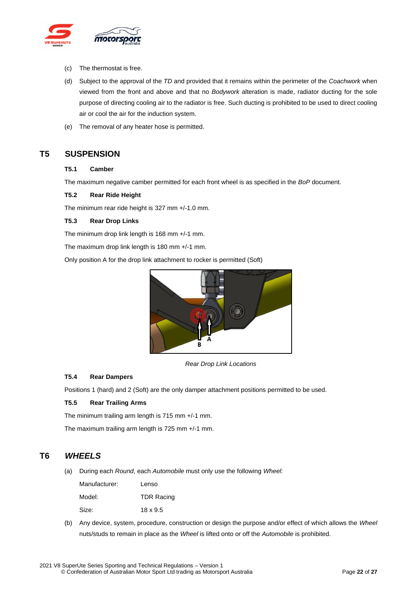

- (c) The thermostat is free.
- (d) Subject to the approval of the *TD* and provided that it remains within the perimeter of the *Coachwork* when viewed from the front and above and that no *Bodywork* alteration is made, radiator ducting for the sole purpose of directing cooling air to the radiator is free. Such ducting is prohibited to be used to direct cooling air or cool the air for the induction system.
- (e) The removal of any heater hose is permitted.

## <span id="page-21-1"></span><span id="page-21-0"></span>**T5 SUSPENSION**

#### **T5.1 Camber**

The maximum negative camber permitted for each front wheel is as specified in the *BoP* document.

#### <span id="page-21-2"></span>**T5.2 Rear Ride Height**

The minimum rear ride height is 327 mm +/-1.0 mm.

#### <span id="page-21-3"></span>**T5.3 Rear Drop Links**

The minimum drop link length is 168 mm +/-1 mm.

The maximum drop link length is 180 mm +/-1 mm.

Only position A for the drop link attachment to rocker is permitted (Soft)



*Rear Drop Link Locations*

#### <span id="page-21-4"></span>**T5.4 Rear Dampers**

Positions 1 (hard) and 2 (Soft) are the only damper attachment positions permitted to be used.

#### <span id="page-21-5"></span>**T5.5 Rear Trailing Arms**

The minimum trailing arm length is 715 mm +/-1 mm.

The maximum trailing arm length is 725 mm +/-1 mm.

## <span id="page-21-6"></span>**T6** *WHEELS*

(a) During each *Round*, each *Automobile* must only use the following *Wheel*:

| Manufacturer: | Lenso             |
|---------------|-------------------|
| Model:        | <b>TDR Racing</b> |
| Size:         | $18 \times 9.5$   |

(b) Any device, system, procedure, construction or design the purpose and/or effect of which allows the *Wheel* nuts/studs to remain in place as the *Wheel* is lifted onto or off the *Automobile* is prohibited.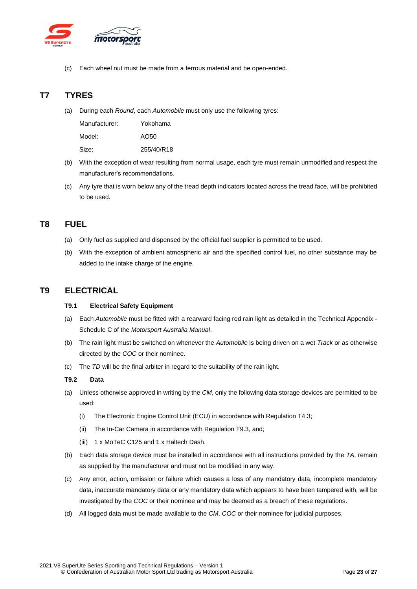

Each wheel nut must be made from a ferrous material and be open-ended.

## <span id="page-22-0"></span>**T7 TYRES**

(a) During each *Round*, each *Automobile* must only use the following tyres:

| Manufacturer: | Yokohama   |
|---------------|------------|
| Model:        | AO50       |
| Size:         | 255/40/R18 |

- (b) With the exception of wear resulting from normal usage, each tyre must remain unmodified and respect the manufacturer's recommendations.
- (c) Any tyre that is worn below any of the tread depth indicators located across the tread face, will be prohibited to be used.

## <span id="page-22-1"></span>**T8 FUEL**

- (a) Only fuel as supplied and dispensed by the official fuel supplier is permitted to be used.
- (b) With the exception of ambient atmospheric air and the specified control fuel, no other substance may be added to the intake charge of the engine.

## <span id="page-22-3"></span><span id="page-22-2"></span>**T9 ELECTRICAL**

#### **T9.1 Electrical Safety Equipment**

- (a) Each *Automobile* must be fitted with a rearward facing red rain light as detailed in the Technical Appendix Schedule C of the *Motorsport Australia Manual*.
- (b) The rain light must be switched on whenever the *Automobile* is being driven on a wet *Track* or as otherwise directed by the *COC* or their nominee.
- (c) The *TD* will be the final arbiter in regard to the suitability of the rain light.

#### <span id="page-22-4"></span>**T9.2 Data**

- (a) Unless otherwise approved in writing by the *CM*, only the following data storage devices are permitted to be used:
	- (i) The Electronic Engine Control Unit (ECU) in accordance with Regulation T4.3;
	- (ii) The In-Car Camera in accordance with Regulation T9.3, and;
	- (iii) 1 x MoTeC C125 and 1 x Haltech Dash.
- (b) Each data storage device must be installed in accordance with all instructions provided by the *TA*, remain as supplied by the manufacturer and must not be modified in any way.
- (c) Any error, action, omission or failure which causes a loss of any mandatory data, incomplete mandatory data, inaccurate mandatory data or any mandatory data which appears to have been tampered with, will be investigated by the *COC* or their nominee and may be deemed as a breach of these regulations.
- (d) All logged data must be made available to the *CM*, *COC* or their nominee for judicial purposes.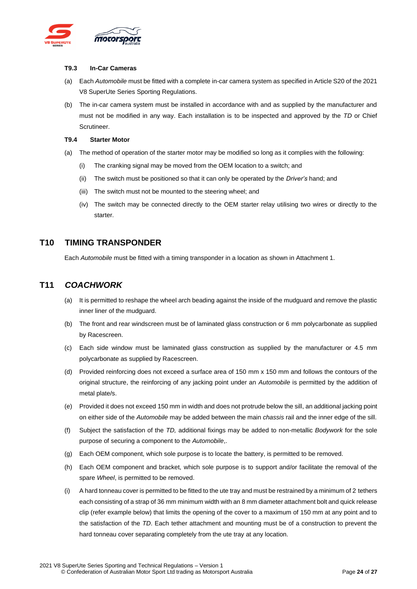

#### <span id="page-23-0"></span>**T9.3 In-Car Cameras**

- (a) Each *Automobile* must be fitted with a complete in-car camera system as specified in Article S20 of the 2021 V8 SuperUte Series Sporting Regulations.
- (b) The in-car camera system must be installed in accordance with and as supplied by the manufacturer and must not be modified in any way. Each installation is to be inspected and approved by the *TD* or Chief Scrutineer.

#### <span id="page-23-1"></span>**T9.4 Starter Motor**

- (a) The method of operation of the starter motor may be modified so long as it complies with the following:
	- (i) The cranking signal may be moved from the OEM location to a switch; and
	- (ii) The switch must be positioned so that it can only be operated by the *Driver's* hand; and
	- (iii) The switch must not be mounted to the steering wheel; and
	- (iv) The switch may be connected directly to the OEM starter relay utilising two wires or directly to the starter.

## <span id="page-23-2"></span>**T10 TIMING TRANSPONDER**

Each *Automobile* must be fitted with a timing transponder in a location as shown in Attachment 1.

## <span id="page-23-3"></span>**T11** *COACHWORK*

- (a) It is permitted to reshape the wheel arch beading against the inside of the mudguard and remove the plastic inner liner of the mudguard.
- (b) The front and rear windscreen must be of laminated glass construction or 6 mm polycarbonate as supplied by Racescreen.
- (c) Each side window must be laminated glass construction as supplied by the manufacturer or 4.5 mm polycarbonate as supplied by Racescreen.
- (d) Provided reinforcing does not exceed a surface area of 150 mm x 150 mm and follows the contours of the original structure, the reinforcing of any jacking point under an *Automobile* is permitted by the addition of metal plate/s.
- (e) Provided it does not exceed 150 mm in width and does not protrude below the sill, an additional jacking point on either side of the *Automobile* may be added between the main *chassis* rail and the inner edge of the sill.
- (f) Subject the satisfaction of the *TD,* additional fixings may be added to non-metallic *Bodywork* for the sole purpose of securing a component to the *Automobile*,.
- (g) Each OEM component, which sole purpose is to locate the battery, is permitted to be removed.
- (h) Each OEM component and bracket, which sole purpose is to support and/or facilitate the removal of the spare *Wheel*, is permitted to be removed.
- (i) A hard tonneau cover is permitted to be fitted to the ute tray and must be restrained by a minimum of 2 tethers each consisting of a strap of 36 mm minimum width with an 8 mm diameter attachment bolt and quick release clip (refer example below) that limits the opening of the cover to a maximum of 150 mm at any point and to the satisfaction of the *TD*. Each tether attachment and mounting must be of a construction to prevent the hard tonneau cover separating completely from the ute tray at any location.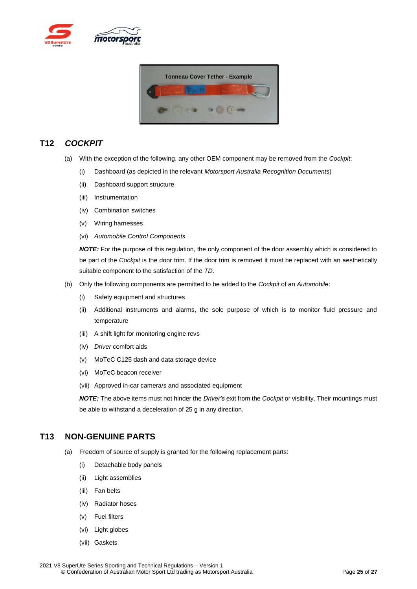



## <span id="page-24-0"></span>**T12** *COCKPIT*

- (a) With the exception of the following, any other OEM component may be removed from the *Cockpit*:
	- (i) Dashboard (as depicted in the relevant *Motorsport Australia Recognition Documents*)
	- (ii) Dashboard support structure
	- (iii) Instrumentation
	- (iv) Combination switches
	- (v) Wiring harnesses
	- (vi) *Automobile Control Components*

*NOTE:* For the purpose of this regulation, the only component of the door assembly which is considered to be part of the *Cockpit* is the door trim. If the door trim is removed it must be replaced with an aesthetically suitable component to the satisfaction of the *TD*.

- (b) Only the following components are permitted to be added to the *Cockpit* of an *Automobile*:
	- (i) Safety equipment and structures
	- (ii) Additional instruments and alarms, the sole purpose of which is to monitor fluid pressure and temperature
	- (iii) A shift light for monitoring engine revs
	- (iv) *Driver* comfort aids
	- (v) MoTeC C125 dash and data storage device
	- (vi) MoTeC beacon receiver
	- (vii) Approved in-car camera/s and associated equipment

*NOTE:* The above items must not hinder the *Driver's* exit from the *Cockpit* or visibility. Their mountings must be able to withstand a deceleration of 25 g in any direction.

## <span id="page-24-1"></span>**T13 NON-GENUINE PARTS**

- (a) Freedom of source of supply is granted for the following replacement parts:
	- (i) Detachable body panels
	- (ii) Light assemblies
	- (iii) Fan belts
	- (iv) Radiator hoses
	- (v) Fuel filters
	- (vi) Light globes
	- (vii) Gaskets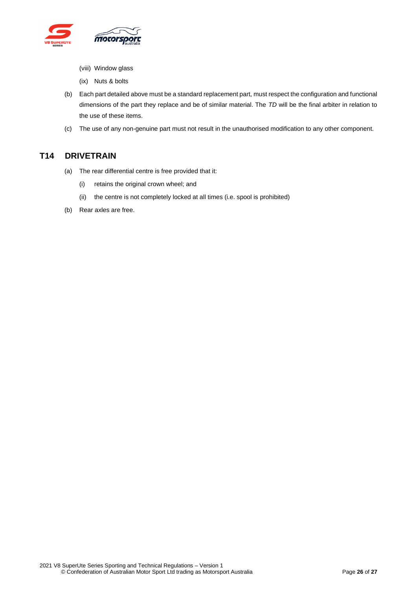

- (viii) Window glass
- (ix) Nuts & bolts
- (b) Each part detailed above must be a standard replacement part, must respect the configuration and functional dimensions of the part they replace and be of similar material. The *TD* will be the final arbiter in relation to the use of these items.
- (c) The use of any non-genuine part must not result in the unauthorised modification to any other component.

## <span id="page-25-0"></span>**T14 DRIVETRAIN**

- (a) The rear differential centre is free provided that it:
	- (i) retains the original crown wheel; and
	- (ii) the centre is not completely locked at all times (i.e. spool is prohibited)
- (b) Rear axles are free.